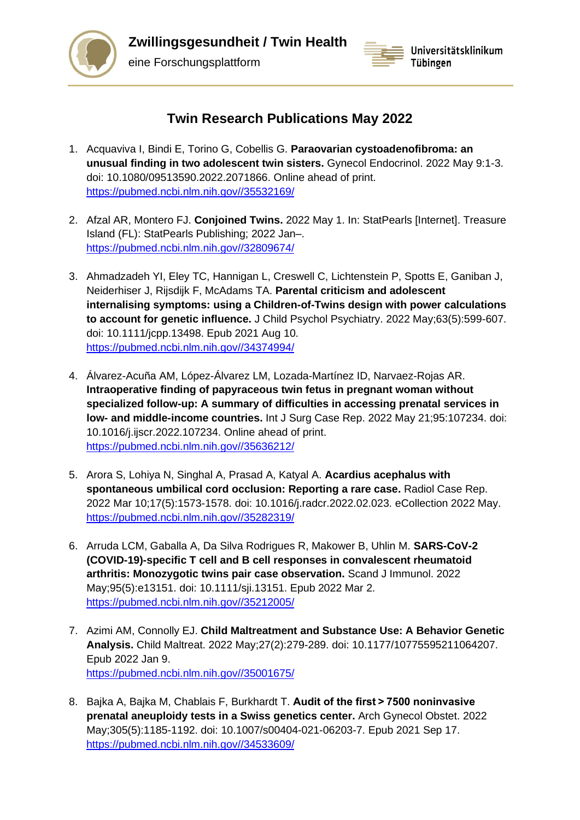

**Zwillingsgesundheit / Twin Health**

eine Forschungsplattform



## **Twin Research Publications May 2022**

- 1. Acquaviva I, Bindi E, Torino G, Cobellis G. **Paraovarian cystoadenofibroma: an unusual finding in two adolescent twin sisters.** Gynecol Endocrinol. 2022 May 9:1-3. doi: 10.1080/09513590.2022.2071866. Online ahead of print. [https://pubmed.ncbi.nlm.nih.gov//35532169/](https://pubmed.ncbi.nlm.nih.gov/35532169/)
- 2. Afzal AR, Montero FJ. **Conjoined Twins.** 2022 May 1. In: StatPearls [Internet]. Treasure Island (FL): StatPearls Publishing; 2022 Jan–. [https://pubmed.ncbi.nlm.nih.gov//32809674/](https://pubmed.ncbi.nlm.nih.gov/32809674/)
- 3. Ahmadzadeh YI, Eley TC, Hannigan L, Creswell C, Lichtenstein P, Spotts E, Ganiban J, Neiderhiser J, Rijsdijk F, McAdams TA. **Parental criticism and adolescent internalising symptoms: using a Children-of-Twins design with power calculations to account for genetic influence.** J Child Psychol Psychiatry. 2022 May;63(5):599-607. doi: 10.1111/jcpp.13498. Epub 2021 Aug 10. [https://pubmed.ncbi.nlm.nih.gov//34374994/](https://pubmed.ncbi.nlm.nih.gov/34374994/)
- 4. Álvarez-Acuña AM, López-Álvarez LM, Lozada-Martínez ID, Narvaez-Rojas AR. **Intraoperative finding of papyraceous twin fetus in pregnant woman without specialized follow-up: A summary of difficulties in accessing prenatal services in low- and middle-income countries.** Int J Surg Case Rep. 2022 May 21;95:107234. doi: 10.1016/j.ijscr.2022.107234. Online ahead of print. [https://pubmed.ncbi.nlm.nih.gov//35636212/](https://pubmed.ncbi.nlm.nih.gov/35636212/)
- 5. Arora S, Lohiya N, Singhal A, Prasad A, Katyal A. **Acardius acephalus with spontaneous umbilical cord occlusion: Reporting a rare case.** Radiol Case Rep. 2022 Mar 10;17(5):1573-1578. doi: 10.1016/j.radcr.2022.02.023. eCollection 2022 May. [https://pubmed.ncbi.nlm.nih.gov//35282319/](https://pubmed.ncbi.nlm.nih.gov/35282319/)
- 6. Arruda LCM, Gaballa A, Da Silva Rodrigues R, Makower B, Uhlin M. **SARS-CoV-2 (COVID-19)-specific T cell and B cell responses in convalescent rheumatoid arthritis: Monozygotic twins pair case observation.** Scand J Immunol. 2022 May;95(5):e13151. doi: 10.1111/sji.13151. Epub 2022 Mar 2. [https://pubmed.ncbi.nlm.nih.gov//35212005/](https://pubmed.ncbi.nlm.nih.gov/35212005/)
- 7. Azimi AM, Connolly EJ. **Child Maltreatment and Substance Use: A Behavior Genetic Analysis.** Child Maltreat. 2022 May;27(2):279-289. doi: 10.1177/10775595211064207. Epub 2022 Jan 9. [https://pubmed.ncbi.nlm.nih.gov//35001675/](https://pubmed.ncbi.nlm.nih.gov/35001675/)
- 8. Bajka A, Bajka M, Chablais F, Burkhardt T. **Audit of the first > 7500 noninvasive prenatal aneuploidy tests in a Swiss genetics center.** Arch Gynecol Obstet. 2022 May;305(5):1185-1192. doi: 10.1007/s00404-021-06203-7. Epub 2021 Sep 17. [https://pubmed.ncbi.nlm.nih.gov//34533609/](https://pubmed.ncbi.nlm.nih.gov/34533609/)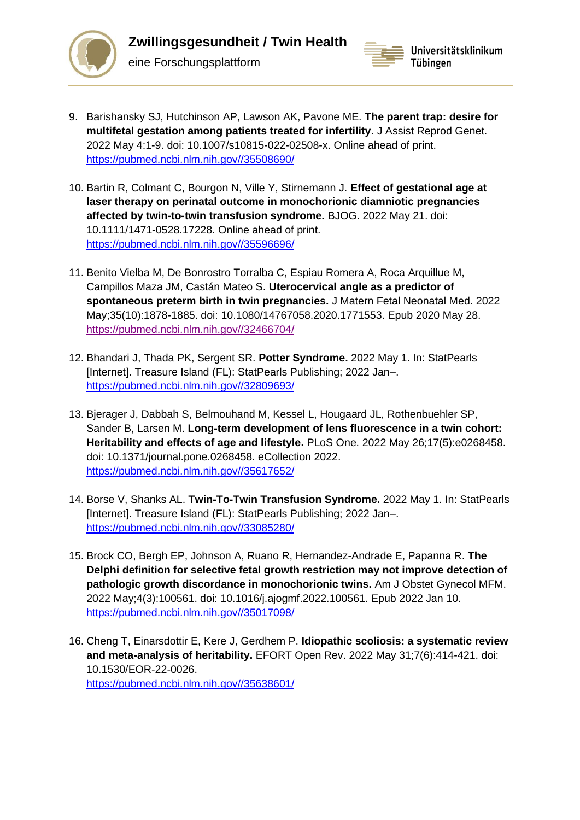



- 9. Barishansky SJ, Hutchinson AP, Lawson AK, Pavone ME. **The parent trap: desire for multifetal gestation among patients treated for infertility.** J Assist Reprod Genet. 2022 May 4:1-9. doi: 10.1007/s10815-022-02508-x. Online ahead of print. [https://pubmed.ncbi.nlm.nih.gov//35508690/](https://pubmed.ncbi.nlm.nih.gov/35508690/)
- 10. Bartin R, Colmant C, Bourgon N, Ville Y, Stirnemann J. **Effect of gestational age at laser therapy on perinatal outcome in monochorionic diamniotic pregnancies affected by twin-to-twin transfusion syndrome.** BJOG. 2022 May 21. doi: 10.1111/1471-0528.17228. Online ahead of print. [https://pubmed.ncbi.nlm.nih.gov//35596696/](https://pubmed.ncbi.nlm.nih.gov/35596696/)
- 11. Benito Vielba M, De Bonrostro Torralba C, Espiau Romera A, Roca Arquillue M, Campillos Maza JM, Castán Mateo S. **Uterocervical angle as a predictor of spontaneous preterm birth in twin pregnancies.** J Matern Fetal Neonatal Med. 2022 May;35(10):1878-1885. doi: 10.1080/14767058.2020.1771553. Epub 2020 May 28. [https://pubmed.ncbi.nlm.nih.gov//32466704/](https://pubmed.ncbi.nlm.nih.gov/32466704/)
- 12. Bhandari J, Thada PK, Sergent SR. **Potter Syndrome.** 2022 May 1. In: StatPearls [Internet]. Treasure Island (FL): StatPearls Publishing; 2022 Jan–. [https://pubmed.ncbi.nlm.nih.gov//32809693/](https://pubmed.ncbi.nlm.nih.gov/32809693/)
- 13. Bjerager J, Dabbah S, Belmouhand M, Kessel L, Hougaard JL, Rothenbuehler SP, Sander B, Larsen M. **Long-term development of lens fluorescence in a twin cohort: Heritability and effects of age and lifestyle.** PLoS One. 2022 May 26;17(5):e0268458. doi: 10.1371/journal.pone.0268458. eCollection 2022. [https://pubmed.ncbi.nlm.nih.gov//35617652/](https://pubmed.ncbi.nlm.nih.gov/35617652/)
- 14. Borse V, Shanks AL. **Twin-To-Twin Transfusion Syndrome.** 2022 May 1. In: StatPearls [Internet]. Treasure Island (FL): StatPearls Publishing; 2022 Jan–. [https://pubmed.ncbi.nlm.nih.gov//33085280/](https://pubmed.ncbi.nlm.nih.gov/33085280/)
- 15. Brock CO, Bergh EP, Johnson A, Ruano R, Hernandez-Andrade E, Papanna R. **The Delphi definition for selective fetal growth restriction may not improve detection of pathologic growth discordance in monochorionic twins.** Am J Obstet Gynecol MFM. 2022 May;4(3):100561. doi: 10.1016/j.ajogmf.2022.100561. Epub 2022 Jan 10. [https://pubmed.ncbi.nlm.nih.gov//35017098/](https://pubmed.ncbi.nlm.nih.gov/35017098/)
- 16. Cheng T, Einarsdottir E, Kere J, Gerdhem P. **Idiopathic scoliosis: a systematic review and meta-analysis of heritability.** EFORT Open Rev. 2022 May 31;7(6):414-421. doi: 10.1530/EOR-22-0026. [https://pubmed.ncbi.nlm.nih.gov//35638601/](https://pubmed.ncbi.nlm.nih.gov/35638601/)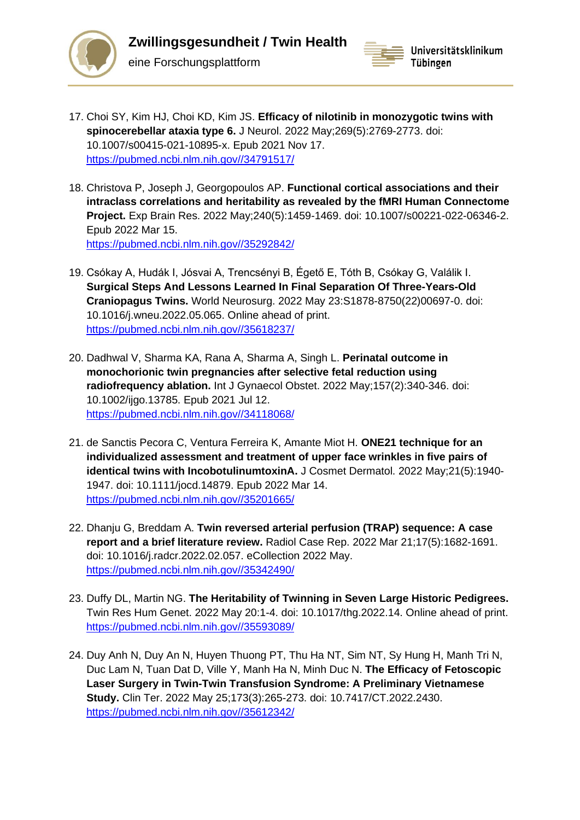



- 17. Choi SY, Kim HJ, Choi KD, Kim JS. **Efficacy of nilotinib in monozygotic twins with spinocerebellar ataxia type 6.** J Neurol. 2022 May;269(5):2769-2773. doi: 10.1007/s00415-021-10895-x. Epub 2021 Nov 17. [https://pubmed.ncbi.nlm.nih.gov//34791517/](https://pubmed.ncbi.nlm.nih.gov/34791517/)
- 18. Christova P, Joseph J, Georgopoulos AP. **Functional cortical associations and their intraclass correlations and heritability as revealed by the fMRI Human Connectome Project.** Exp Brain Res. 2022 May;240(5):1459-1469. doi: 10.1007/s00221-022-06346-2. Epub 2022 Mar 15. [https://pubmed.ncbi.nlm.nih.gov//35292842/](https://pubmed.ncbi.nlm.nih.gov/35292842/)
- 19. Csókay A, Hudák I, Jósvai A, Trencsényi B, Égető E, Tóth B, Csókay G, Valálik I. **Surgical Steps And Lessons Learned In Final Separation Of Three-Years-Old Craniopagus Twins.** World Neurosurg. 2022 May 23:S1878-8750(22)00697-0. doi: 10.1016/j.wneu.2022.05.065. Online ahead of print. [https://pubmed.ncbi.nlm.nih.gov//35618237/](https://pubmed.ncbi.nlm.nih.gov/35618237/)
- 20. Dadhwal V, Sharma KA, Rana A, Sharma A, Singh L. **Perinatal outcome in monochorionic twin pregnancies after selective fetal reduction using radiofrequency ablation.** Int J Gynaecol Obstet. 2022 May;157(2):340-346. doi: 10.1002/ijgo.13785. Epub 2021 Jul 12. [https://pubmed.ncbi.nlm.nih.gov//34118068/](https://pubmed.ncbi.nlm.nih.gov/34118068/)
- 21. de Sanctis Pecora C, Ventura Ferreira K, Amante Miot H. **ONE21 technique for an individualized assessment and treatment of upper face wrinkles in five pairs of identical twins with IncobotulinumtoxinA.** J Cosmet Dermatol. 2022 May;21(5):1940- 1947. doi: 10.1111/jocd.14879. Epub 2022 Mar 14. [https://pubmed.ncbi.nlm.nih.gov//35201665/](https://pubmed.ncbi.nlm.nih.gov/35201665/)
- 22. Dhanju G, Breddam A. **Twin reversed arterial perfusion (TRAP) sequence: A case report and a brief literature review.** Radiol Case Rep. 2022 Mar 21;17(5):1682-1691. doi: 10.1016/j.radcr.2022.02.057. eCollection 2022 May. [https://pubmed.ncbi.nlm.nih.gov//35342490/](https://pubmed.ncbi.nlm.nih.gov/35342490/)
- 23. Duffy DL, Martin NG. **The Heritability of Twinning in Seven Large Historic Pedigrees.**  Twin Res Hum Genet. 2022 May 20:1-4. doi: 10.1017/thg.2022.14. Online ahead of print. [https://pubmed.ncbi.nlm.nih.gov//35593089/](https://pubmed.ncbi.nlm.nih.gov/35593089/)
- 24. Duy Anh N, Duy An N, Huyen Thuong PT, Thu Ha NT, Sim NT, Sy Hung H, Manh Tri N, Duc Lam N, Tuan Dat D, Ville Y, Manh Ha N, Minh Duc N. **The Efficacy of Fetoscopic Laser Surgery in Twin-Twin Transfusion Syndrome: A Preliminary Vietnamese Study.** Clin Ter. 2022 May 25;173(3):265-273. doi: 10.7417/CT.2022.2430. [https://pubmed.ncbi.nlm.nih.gov//35612342/](https://pubmed.ncbi.nlm.nih.gov/35612342/)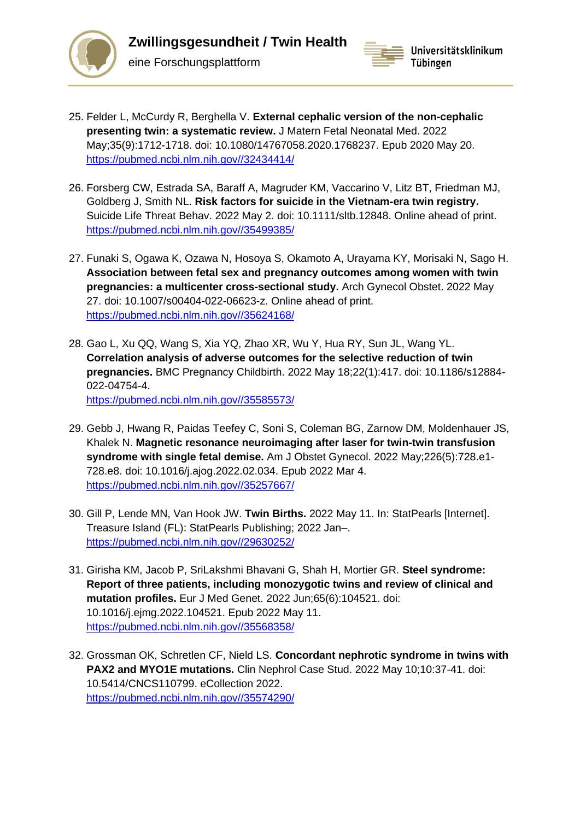

eine Forschungsplattform



- 25. Felder L, McCurdy R, Berghella V. **External cephalic version of the non-cephalic presenting twin: a systematic review.** J Matern Fetal Neonatal Med. 2022 May;35(9):1712-1718. doi: 10.1080/14767058.2020.1768237. Epub 2020 May 20. [https://pubmed.ncbi.nlm.nih.gov//32434414/](https://pubmed.ncbi.nlm.nih.gov/32434414/)
- 26. Forsberg CW, Estrada SA, Baraff A, Magruder KM, Vaccarino V, Litz BT, Friedman MJ, Goldberg J, Smith NL. **Risk factors for suicide in the Vietnam-era twin registry.**  Suicide Life Threat Behav. 2022 May 2. doi: 10.1111/sltb.12848. Online ahead of print. [https://pubmed.ncbi.nlm.nih.gov//35499385/](https://pubmed.ncbi.nlm.nih.gov/35499385/)
- 27. Funaki S, Ogawa K, Ozawa N, Hosoya S, Okamoto A, Urayama KY, Morisaki N, Sago H. **Association between fetal sex and pregnancy outcomes among women with twin pregnancies: a multicenter cross-sectional study.** Arch Gynecol Obstet. 2022 May 27. doi: 10.1007/s00404-022-06623-z. Online ahead of print. [https://pubmed.ncbi.nlm.nih.gov//35624168/](https://pubmed.ncbi.nlm.nih.gov/35624168/)
- 28. Gao L, Xu QQ, Wang S, Xia YQ, Zhao XR, Wu Y, Hua RY, Sun JL, Wang YL. **Correlation analysis of adverse outcomes for the selective reduction of twin pregnancies.** BMC Pregnancy Childbirth. 2022 May 18;22(1):417. doi: 10.1186/s12884- 022-04754-4. [https://pubmed.ncbi.nlm.nih.gov//35585573/](https://pubmed.ncbi.nlm.nih.gov/35585573/)
- 29. Gebb J, Hwang R, Paidas Teefey C, Soni S, Coleman BG, Zarnow DM, Moldenhauer JS, Khalek N. **Magnetic resonance neuroimaging after laser for twin-twin transfusion syndrome with single fetal demise.** Am J Obstet Gynecol. 2022 May;226(5):728.e1- 728.e8. doi: 10.1016/j.ajog.2022.02.034. Epub 2022 Mar 4. [https://pubmed.ncbi.nlm.nih.gov//35257667/](https://pubmed.ncbi.nlm.nih.gov/35257667/)
- 30. Gill P, Lende MN, Van Hook JW. **Twin Births.** 2022 May 11. In: StatPearls [Internet]. Treasure Island (FL): StatPearls Publishing; 2022 Jan–. [https://pubmed.ncbi.nlm.nih.gov//29630252/](https://pubmed.ncbi.nlm.nih.gov/29630252/)
- 31. Girisha KM, Jacob P, SriLakshmi Bhavani G, Shah H, Mortier GR. **Steel syndrome: Report of three patients, including monozygotic twins and review of clinical and mutation profiles.** Eur J Med Genet. 2022 Jun;65(6):104521. doi: 10.1016/j.ejmg.2022.104521. Epub 2022 May 11. [https://pubmed.ncbi.nlm.nih.gov//35568358/](https://pubmed.ncbi.nlm.nih.gov/35568358/)
- 32. Grossman OK, Schretlen CF, Nield LS. **Concordant nephrotic syndrome in twins with PAX2 and MYO1E mutations.** Clin Nephrol Case Stud. 2022 May 10;10:37-41. doi: 10.5414/CNCS110799. eCollection 2022. [https://pubmed.ncbi.nlm.nih.gov//35574290/](https://pubmed.ncbi.nlm.nih.gov/35574290/)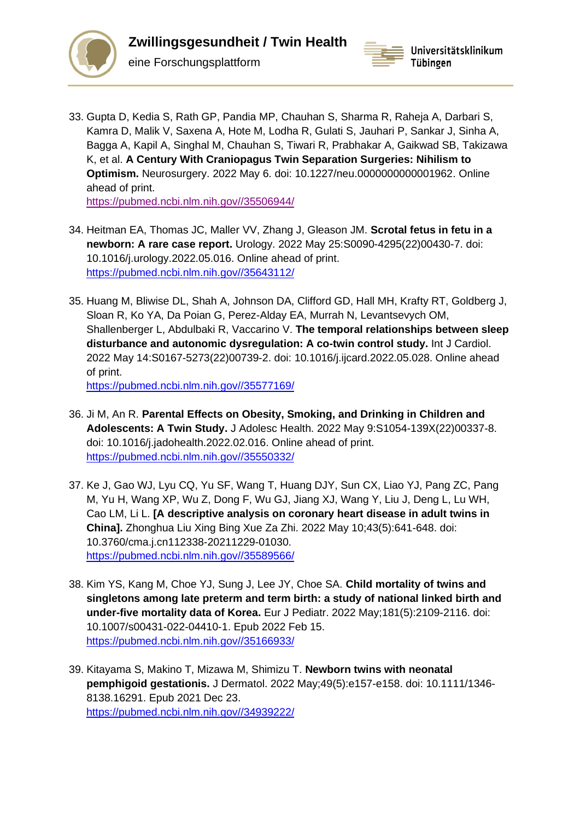



33. Gupta D, Kedia S, Rath GP, Pandia MP, Chauhan S, Sharma R, Raheja A, Darbari S, Kamra D, Malik V, Saxena A, Hote M, Lodha R, Gulati S, Jauhari P, Sankar J, Sinha A, Bagga A, Kapil A, Singhal M, Chauhan S, Tiwari R, Prabhakar A, Gaikwad SB, Takizawa K, et al. **A Century With Craniopagus Twin Separation Surgeries: Nihilism to Optimism.** Neurosurgery. 2022 May 6. doi: 10.1227/neu.0000000000001962. Online ahead of print.

[https://pubmed.ncbi.nlm.nih.gov//35506944/](https://pubmed.ncbi.nlm.nih.gov/35506944/)

- 34. Heitman EA, Thomas JC, Maller VV, Zhang J, Gleason JM. **Scrotal fetus in fetu in a newborn: A rare case report.** Urology. 2022 May 25:S0090-4295(22)00430-7. doi: 10.1016/j.urology.2022.05.016. Online ahead of print. [https://pubmed.ncbi.nlm.nih.gov//35643112/](https://pubmed.ncbi.nlm.nih.gov/35643112/)
- 35. Huang M, Bliwise DL, Shah A, Johnson DA, Clifford GD, Hall MH, Krafty RT, Goldberg J, Sloan R, Ko YA, Da Poian G, Perez-Alday EA, Murrah N, Levantsevych OM, Shallenberger L, Abdulbaki R, Vaccarino V. **The temporal relationships between sleep disturbance and autonomic dysregulation: A co-twin control study.** Int J Cardiol. 2022 May 14:S0167-5273(22)00739-2. doi: 10.1016/j.ijcard.2022.05.028. Online ahead of print.

[https://pubmed.ncbi.nlm.nih.gov//35577169/](https://pubmed.ncbi.nlm.nih.gov/35577169/)

- 36. Ji M, An R. **Parental Effects on Obesity, Smoking, and Drinking in Children and Adolescents: A Twin Study.** J Adolesc Health. 2022 May 9:S1054-139X(22)00337-8. doi: 10.1016/j.jadohealth.2022.02.016. Online ahead of print. [https://pubmed.ncbi.nlm.nih.gov//35550332/](https://pubmed.ncbi.nlm.nih.gov/35550332/)
- 37. Ke J, Gao WJ, Lyu CQ, Yu SF, Wang T, Huang DJY, Sun CX, Liao YJ, Pang ZC, Pang M, Yu H, Wang XP, Wu Z, Dong F, Wu GJ, Jiang XJ, Wang Y, Liu J, Deng L, Lu WH, Cao LM, Li L. **[A descriptive analysis on coronary heart disease in adult twins in China].** Zhonghua Liu Xing Bing Xue Za Zhi. 2022 May 10;43(5):641-648. doi: 10.3760/cma.j.cn112338-20211229-01030. [https://pubmed.ncbi.nlm.nih.gov//35589566/](https://pubmed.ncbi.nlm.nih.gov/35589566/)
- 38. Kim YS, Kang M, Choe YJ, Sung J, Lee JY, Choe SA. **Child mortality of twins and singletons among late preterm and term birth: a study of national linked birth and under-five mortality data of Korea.** Eur J Pediatr. 2022 May;181(5):2109-2116. doi: 10.1007/s00431-022-04410-1. Epub 2022 Feb 15. [https://pubmed.ncbi.nlm.nih.gov//35166933/](https://pubmed.ncbi.nlm.nih.gov/35166933/)
- 39. Kitayama S, Makino T, Mizawa M, Shimizu T. **Newborn twins with neonatal pemphigoid gestationis.** J Dermatol. 2022 May;49(5):e157-e158. doi: 10.1111/1346- 8138.16291. Epub 2021 Dec 23. [https://pubmed.ncbi.nlm.nih.gov//34939222/](https://pubmed.ncbi.nlm.nih.gov/34939222/)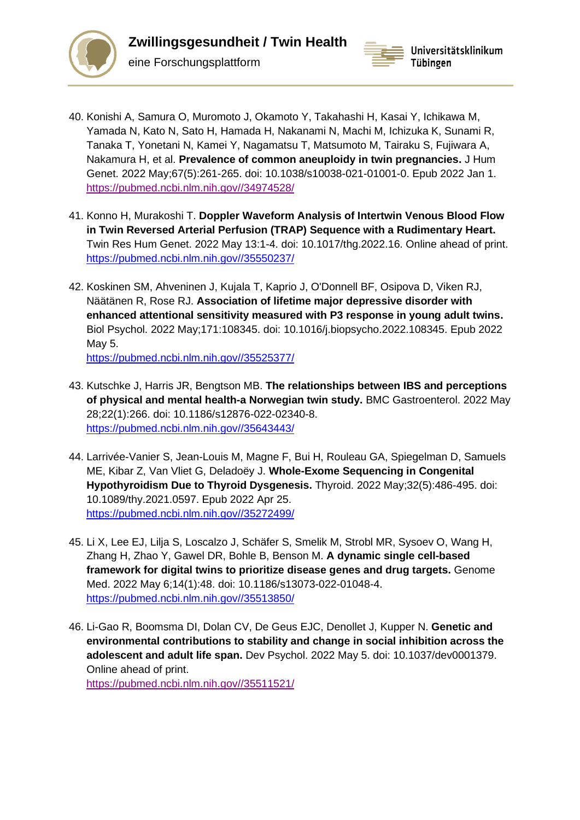



- 40. Konishi A, Samura O, Muromoto J, Okamoto Y, Takahashi H, Kasai Y, Ichikawa M, Yamada N, Kato N, Sato H, Hamada H, Nakanami N, Machi M, Ichizuka K, Sunami R, Tanaka T, Yonetani N, Kamei Y, Nagamatsu T, Matsumoto M, Tairaku S, Fujiwara A, Nakamura H, et al. **Prevalence of common aneuploidy in twin pregnancies.** J Hum Genet. 2022 May;67(5):261-265. doi: 10.1038/s10038-021-01001-0. Epub 2022 Jan 1. [https://pubmed.ncbi.nlm.nih.gov//34974528/](https://pubmed.ncbi.nlm.nih.gov/34974528/)
- 41. Konno H, Murakoshi T. **Doppler Waveform Analysis of Intertwin Venous Blood Flow in Twin Reversed Arterial Perfusion (TRAP) Sequence with a Rudimentary Heart.**  Twin Res Hum Genet. 2022 May 13:1-4. doi: 10.1017/thg.2022.16. Online ahead of print. [https://pubmed.ncbi.nlm.nih.gov//35550237/](https://pubmed.ncbi.nlm.nih.gov/35550237/)
- 42. Koskinen SM, Ahveninen J, Kujala T, Kaprio J, O'Donnell BF, Osipova D, Viken RJ, Näätänen R, Rose RJ. **Association of lifetime major depressive disorder with enhanced attentional sensitivity measured with P3 response in young adult twins.**  Biol Psychol. 2022 May;171:108345. doi: 10.1016/j.biopsycho.2022.108345. Epub 2022 May 5. [https://pubmed.ncbi.nlm.nih.gov//35525377/](https://pubmed.ncbi.nlm.nih.gov/35525377/)
- 43. Kutschke J, Harris JR, Bengtson MB. **The relationships between IBS and perceptions of physical and mental health-a Norwegian twin study.** BMC Gastroenterol. 2022 May 28;22(1):266. doi: 10.1186/s12876-022-02340-8. [https://pubmed.ncbi.nlm.nih.gov//35643443/](https://pubmed.ncbi.nlm.nih.gov/35643443/)
- 44. Larrivée-Vanier S, Jean-Louis M, Magne F, Bui H, Rouleau GA, Spiegelman D, Samuels ME, Kibar Z, Van Vliet G, Deladoëy J. **Whole-Exome Sequencing in Congenital Hypothyroidism Due to Thyroid Dysgenesis.** Thyroid. 2022 May;32(5):486-495. doi: 10.1089/thy.2021.0597. Epub 2022 Apr 25. [https://pubmed.ncbi.nlm.nih.gov//35272499/](https://pubmed.ncbi.nlm.nih.gov/35272499/)
- 45. Li X, Lee EJ, Lilja S, Loscalzo J, Schäfer S, Smelik M, Strobl MR, Sysoev O, Wang H, Zhang H, Zhao Y, Gawel DR, Bohle B, Benson M. **A dynamic single cell-based framework for digital twins to prioritize disease genes and drug targets.** Genome Med. 2022 May 6;14(1):48. doi: 10.1186/s13073-022-01048-4. [https://pubmed.ncbi.nlm.nih.gov//35513850/](https://pubmed.ncbi.nlm.nih.gov/35513850/)
- 46. Li-Gao R, Boomsma DI, Dolan CV, De Geus EJC, Denollet J, Kupper N. **Genetic and environmental contributions to stability and change in social inhibition across the adolescent and adult life span.** Dev Psychol. 2022 May 5. doi: 10.1037/dev0001379. Online ahead of print. [https://pubmed.ncbi.nlm.nih.gov//35511521/](https://pubmed.ncbi.nlm.nih.gov/35511521/)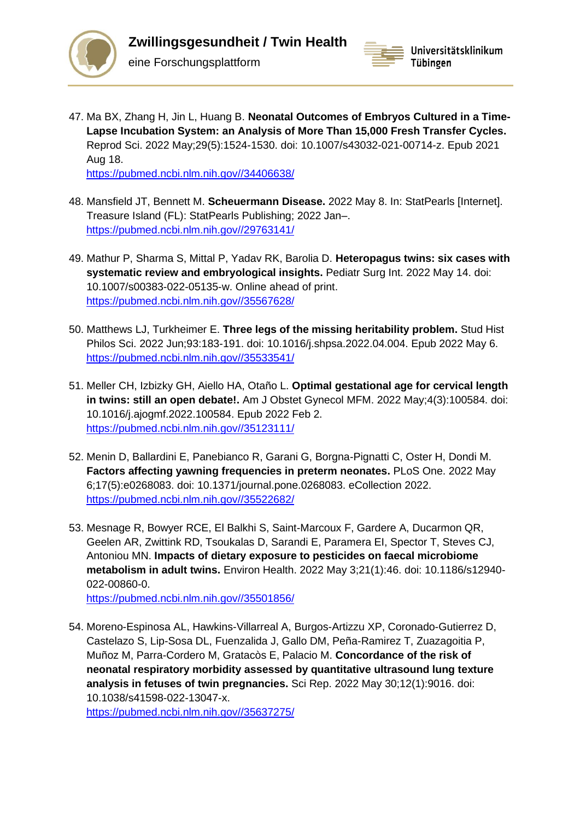



47. Ma BX, Zhang H, Jin L, Huang B. **Neonatal Outcomes of Embryos Cultured in a Time-Lapse Incubation System: an Analysis of More Than 15,000 Fresh Transfer Cycles.**  Reprod Sci. 2022 May;29(5):1524-1530. doi: 10.1007/s43032-021-00714-z. Epub 2021 Aug 18.

[https://pubmed.ncbi.nlm.nih.gov//34406638/](https://pubmed.ncbi.nlm.nih.gov/34406638/)

eine Forschungsplattform

- 48. Mansfield JT, Bennett M. **Scheuermann Disease.** 2022 May 8. In: StatPearls [Internet]. Treasure Island (FL): StatPearls Publishing; 2022 Jan–. [https://pubmed.ncbi.nlm.nih.gov//29763141/](https://pubmed.ncbi.nlm.nih.gov/29763141/)
- 49. Mathur P, Sharma S, Mittal P, Yadav RK, Barolia D. **Heteropagus twins: six cases with systematic review and embryological insights.** Pediatr Surg Int. 2022 May 14. doi: 10.1007/s00383-022-05135-w. Online ahead of print. [https://pubmed.ncbi.nlm.nih.gov//35567628/](https://pubmed.ncbi.nlm.nih.gov/35567628/)
- 50. Matthews LJ, Turkheimer E. **Three legs of the missing heritability problem.** Stud Hist Philos Sci. 2022 Jun;93:183-191. doi: 10.1016/j.shpsa.2022.04.004. Epub 2022 May 6. [https://pubmed.ncbi.nlm.nih.gov//35533541/](https://pubmed.ncbi.nlm.nih.gov/35533541/)
- 51. Meller CH, Izbizky GH, Aiello HA, Otaño L. **Optimal gestational age for cervical length in twins: still an open debate!.** Am J Obstet Gynecol MFM. 2022 May;4(3):100584. doi: 10.1016/j.ajogmf.2022.100584. Epub 2022 Feb 2. [https://pubmed.ncbi.nlm.nih.gov//35123111/](https://pubmed.ncbi.nlm.nih.gov/35123111/)
- 52. Menin D, Ballardini E, Panebianco R, Garani G, Borgna-Pignatti C, Oster H, Dondi M. **Factors affecting yawning frequencies in preterm neonates.** PLoS One. 2022 May 6;17(5):e0268083. doi: 10.1371/journal.pone.0268083. eCollection 2022. [https://pubmed.ncbi.nlm.nih.gov//35522682/](https://pubmed.ncbi.nlm.nih.gov/35522682/)
- 53. Mesnage R, Bowyer RCE, El Balkhi S, Saint-Marcoux F, Gardere A, Ducarmon QR, Geelen AR, Zwittink RD, Tsoukalas D, Sarandi E, Paramera EI, Spector T, Steves CJ, Antoniou MN. **Impacts of dietary exposure to pesticides on faecal microbiome metabolism in adult twins.** Environ Health. 2022 May 3;21(1):46. doi: 10.1186/s12940- 022-00860-0.

[https://pubmed.ncbi.nlm.nih.gov//35501856/](https://pubmed.ncbi.nlm.nih.gov/35501856/)

54. Moreno-Espinosa AL, Hawkins-Villarreal A, Burgos-Artizzu XP, Coronado-Gutierrez D, Castelazo S, Lip-Sosa DL, Fuenzalida J, Gallo DM, Peña-Ramirez T, Zuazagoitia P, Muñoz M, Parra-Cordero M, Gratacòs E, Palacio M. **Concordance of the risk of neonatal respiratory morbidity assessed by quantitative ultrasound lung texture analysis in fetuses of twin pregnancies.** Sci Rep. 2022 May 30;12(1):9016. doi: 10.1038/s41598-022-13047-x.

[https://pubmed.ncbi.nlm.nih.gov//35637275/](https://pubmed.ncbi.nlm.nih.gov/35637275/)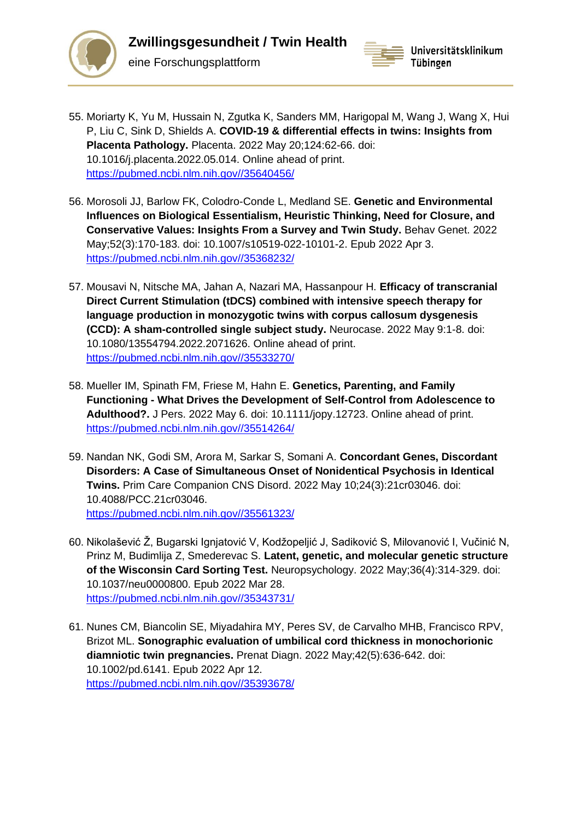

eine Forschungsplattform



- 55. Moriarty K, Yu M, Hussain N, Zgutka K, Sanders MM, Harigopal M, Wang J, Wang X, Hui P, Liu C, Sink D, Shields A. **COVID-19 & differential effects in twins: Insights from Placenta Pathology.** Placenta. 2022 May 20;124:62-66. doi: 10.1016/j.placenta.2022.05.014. Online ahead of print. [https://pubmed.ncbi.nlm.nih.gov//35640456/](https://pubmed.ncbi.nlm.nih.gov/35640456/)
- 56. Morosoli JJ, Barlow FK, Colodro-Conde L, Medland SE. **Genetic and Environmental Influences on Biological Essentialism, Heuristic Thinking, Need for Closure, and Conservative Values: Insights From a Survey and Twin Study.** Behav Genet. 2022 May;52(3):170-183. doi: 10.1007/s10519-022-10101-2. Epub 2022 Apr 3. [https://pubmed.ncbi.nlm.nih.gov//35368232/](https://pubmed.ncbi.nlm.nih.gov/35368232/)
- 57. Mousavi N, Nitsche MA, Jahan A, Nazari MA, Hassanpour H. **Efficacy of transcranial Direct Current Stimulation (tDCS) combined with intensive speech therapy for language production in monozygotic twins with corpus callosum dysgenesis (CCD): A sham-controlled single subject study.** Neurocase. 2022 May 9:1-8. doi: 10.1080/13554794.2022.2071626. Online ahead of print. [https://pubmed.ncbi.nlm.nih.gov//35533270/](https://pubmed.ncbi.nlm.nih.gov/35533270/)
- 58. Mueller IM, Spinath FM, Friese M, Hahn E. **Genetics, Parenting, and Family Functioning - What Drives the Development of Self-Control from Adolescence to Adulthood?.** J Pers. 2022 May 6. doi: 10.1111/jopy.12723. Online ahead of print. [https://pubmed.ncbi.nlm.nih.gov//35514264/](https://pubmed.ncbi.nlm.nih.gov/35514264/)
- 59. Nandan NK, Godi SM, Arora M, Sarkar S, Somani A. **Concordant Genes, Discordant Disorders: A Case of Simultaneous Onset of Nonidentical Psychosis in Identical Twins.** Prim Care Companion CNS Disord. 2022 May 10;24(3):21cr03046. doi: 10.4088/PCC.21cr03046. [https://pubmed.ncbi.nlm.nih.gov//35561323/](https://pubmed.ncbi.nlm.nih.gov/35561323/)
- 60. Nikolašević Ž, Bugarski Ignjatović V, Kodžopeljić J, Sadiković S, Milovanović I, Vučinić N, Prinz M, Budimlija Z, Smederevac S. **Latent, genetic, and molecular genetic structure of the Wisconsin Card Sorting Test.** Neuropsychology. 2022 May;36(4):314-329. doi: 10.1037/neu0000800. Epub 2022 Mar 28. [https://pubmed.ncbi.nlm.nih.gov//35343731/](https://pubmed.ncbi.nlm.nih.gov/35343731/)
- 61. Nunes CM, Biancolin SE, Miyadahira MY, Peres SV, de Carvalho MHB, Francisco RPV, Brizot ML. **Sonographic evaluation of umbilical cord thickness in monochorionic diamniotic twin pregnancies.** Prenat Diagn. 2022 May;42(5):636-642. doi: 10.1002/pd.6141. Epub 2022 Apr 12. [https://pubmed.ncbi.nlm.nih.gov//35393678/](https://pubmed.ncbi.nlm.nih.gov/35393678/)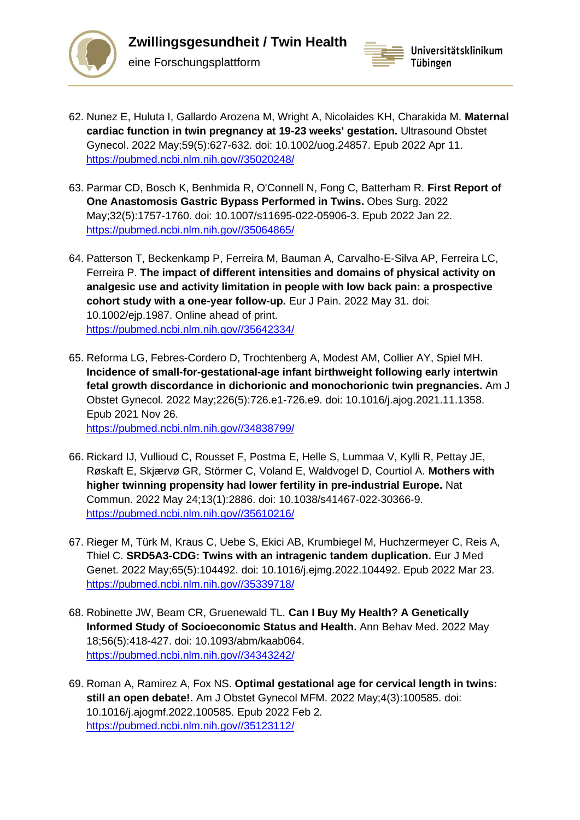

**Zwillingsgesundheit / Twin Health** eine Forschungsplattform



- 62. Nunez E, Huluta I, Gallardo Arozena M, Wright A, Nicolaides KH, Charakida M. **Maternal cardiac function in twin pregnancy at 19-23 weeks' gestation.** Ultrasound Obstet Gynecol. 2022 May;59(5):627-632. doi: 10.1002/uog.24857. Epub 2022 Apr 11. [https://pubmed.ncbi.nlm.nih.gov//35020248/](https://pubmed.ncbi.nlm.nih.gov/35020248/)
- 63. Parmar CD, Bosch K, Benhmida R, O'Connell N, Fong C, Batterham R. **First Report of One Anastomosis Gastric Bypass Performed in Twins.** Obes Surg. 2022 May;32(5):1757-1760. doi: 10.1007/s11695-022-05906-3. Epub 2022 Jan 22. [https://pubmed.ncbi.nlm.nih.gov//35064865/](https://pubmed.ncbi.nlm.nih.gov/35064865/)
- 64. Patterson T, Beckenkamp P, Ferreira M, Bauman A, Carvalho-E-Silva AP, Ferreira LC, Ferreira P. **The impact of different intensities and domains of physical activity on analgesic use and activity limitation in people with low back pain: a prospective cohort study with a one-year follow-up.** Eur J Pain. 2022 May 31. doi: 10.1002/ejp.1987. Online ahead of print. [https://pubmed.ncbi.nlm.nih.gov//35642334/](https://pubmed.ncbi.nlm.nih.gov/35642334/)
- 65. Reforma LG, Febres-Cordero D, Trochtenberg A, Modest AM, Collier AY, Spiel MH. **Incidence of small-for-gestational-age infant birthweight following early intertwin fetal growth discordance in dichorionic and monochorionic twin pregnancies.** Am J Obstet Gynecol. 2022 May;226(5):726.e1-726.e9. doi: 10.1016/j.ajog.2021.11.1358. Epub 2021 Nov 26. [https://pubmed.ncbi.nlm.nih.gov//34838799/](https://pubmed.ncbi.nlm.nih.gov/34838799/)
- 66. Rickard IJ, Vullioud C, Rousset F, Postma E, Helle S, Lummaa V, Kylli R, Pettay JE, Røskaft E, Skjærvø GR, Störmer C, Voland E, Waldvogel D, Courtiol A. **Mothers with higher twinning propensity had lower fertility in pre-industrial Europe.** Nat Commun. 2022 May 24;13(1):2886. doi: 10.1038/s41467-022-30366-9. [https://pubmed.ncbi.nlm.nih.gov//35610216/](https://pubmed.ncbi.nlm.nih.gov/35610216/)
- 67. Rieger M, Türk M, Kraus C, Uebe S, Ekici AB, Krumbiegel M, Huchzermeyer C, Reis A, Thiel C. **SRD5A3-CDG: Twins with an intragenic tandem duplication.** Eur J Med Genet. 2022 May;65(5):104492. doi: 10.1016/j.ejmg.2022.104492. Epub 2022 Mar 23. [https://pubmed.ncbi.nlm.nih.gov//35339718/](https://pubmed.ncbi.nlm.nih.gov/35339718/)
- 68. Robinette JW, Beam CR, Gruenewald TL. **Can I Buy My Health? A Genetically Informed Study of Socioeconomic Status and Health.** Ann Behav Med. 2022 May 18;56(5):418-427. doi: 10.1093/abm/kaab064. [https://pubmed.ncbi.nlm.nih.gov//34343242/](https://pubmed.ncbi.nlm.nih.gov/34343242/)
- 69. Roman A, Ramirez A, Fox NS. **Optimal gestational age for cervical length in twins: still an open debate!.** Am J Obstet Gynecol MFM. 2022 May;4(3):100585. doi: 10.1016/j.ajogmf.2022.100585. Epub 2022 Feb 2. [https://pubmed.ncbi.nlm.nih.gov//35123112/](https://pubmed.ncbi.nlm.nih.gov/35123112/)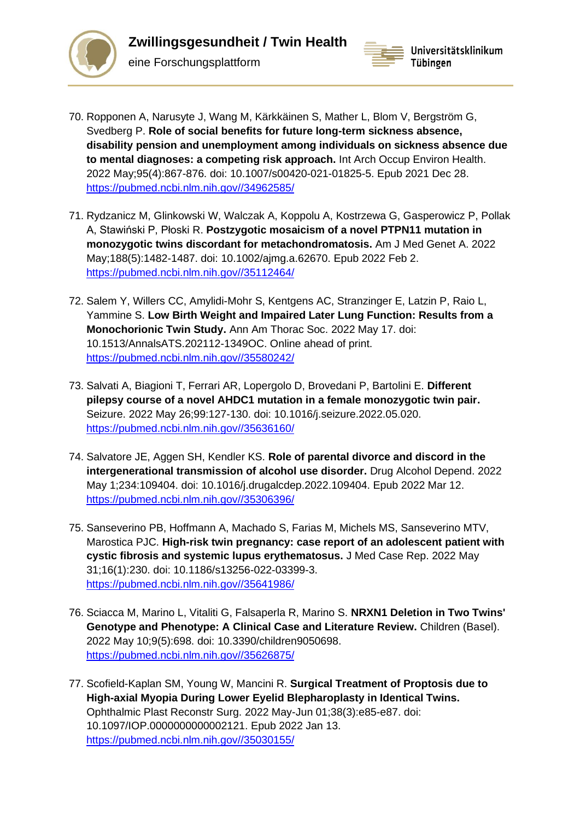



- 70. Ropponen A, Narusyte J, Wang M, Kärkkäinen S, Mather L, Blom V, Bergström G, Svedberg P. **Role of social benefits for future long-term sickness absence, disability pension and unemployment among individuals on sickness absence due to mental diagnoses: a competing risk approach.** Int Arch Occup Environ Health. 2022 May;95(4):867-876. doi: 10.1007/s00420-021-01825-5. Epub 2021 Dec 28. [https://pubmed.ncbi.nlm.nih.gov//34962585/](https://pubmed.ncbi.nlm.nih.gov/34962585/)
- 71. Rydzanicz M, Glinkowski W, Walczak A, Koppolu A, Kostrzewa G, Gasperowicz P, Pollak A, Stawiński P, Płoski R. **Postzygotic mosaicism of a novel PTPN11 mutation in monozygotic twins discordant for metachondromatosis.** Am J Med Genet A. 2022 May;188(5):1482-1487. doi: 10.1002/ajmg.a.62670. Epub 2022 Feb 2. [https://pubmed.ncbi.nlm.nih.gov//35112464/](https://pubmed.ncbi.nlm.nih.gov/35112464/)
- 72. Salem Y, Willers CC, Amylidi-Mohr S, Kentgens AC, Stranzinger E, Latzin P, Raio L, Yammine S. **Low Birth Weight and Impaired Later Lung Function: Results from a Monochorionic Twin Study.** Ann Am Thorac Soc. 2022 May 17. doi: 10.1513/AnnalsATS.202112-1349OC. Online ahead of print. [https://pubmed.ncbi.nlm.nih.gov//35580242/](https://pubmed.ncbi.nlm.nih.gov/35580242/)
- 73. Salvati A, Biagioni T, Ferrari AR, Lopergolo D, Brovedani P, Bartolini E. **Different pilepsy course of a novel AHDC1 mutation in a female monozygotic twin pair.**  Seizure. 2022 May 26;99:127-130. doi: 10.1016/j.seizure.2022.05.020. [https://pubmed.ncbi.nlm.nih.gov//35636160/](https://pubmed.ncbi.nlm.nih.gov/35636160/)
- 74. Salvatore JE, Aggen SH, Kendler KS. **Role of parental divorce and discord in the intergenerational transmission of alcohol use disorder.** Drug Alcohol Depend. 2022 May 1;234:109404. doi: 10.1016/j.drugalcdep.2022.109404. Epub 2022 Mar 12. [https://pubmed.ncbi.nlm.nih.gov//35306396/](https://pubmed.ncbi.nlm.nih.gov/35306396/)
- 75. Sanseverino PB, Hoffmann A, Machado S, Farias M, Michels MS, Sanseverino MTV, Marostica PJC. **High-risk twin pregnancy: case report of an adolescent patient with cystic fibrosis and systemic lupus erythematosus.** J Med Case Rep. 2022 May 31;16(1):230. doi: 10.1186/s13256-022-03399-3. [https://pubmed.ncbi.nlm.nih.gov//35641986/](https://pubmed.ncbi.nlm.nih.gov/35641986/)
- 76. Sciacca M, Marino L, Vitaliti G, Falsaperla R, Marino S. **NRXN1 Deletion in Two Twins' Genotype and Phenotype: A Clinical Case and Literature Review.** Children (Basel). 2022 May 10;9(5):698. doi: 10.3390/children9050698. [https://pubmed.ncbi.nlm.nih.gov//35626875/](https://pubmed.ncbi.nlm.nih.gov/35626875/)
- 77. Scofield-Kaplan SM, Young W, Mancini R. **Surgical Treatment of Proptosis due to High-axial Myopia During Lower Eyelid Blepharoplasty in Identical Twins.**  Ophthalmic Plast Reconstr Surg. 2022 May-Jun 01;38(3):e85-e87. doi: 10.1097/IOP.0000000000002121. Epub 2022 Jan 13. [https://pubmed.ncbi.nlm.nih.gov//35030155/](https://pubmed.ncbi.nlm.nih.gov/35030155/)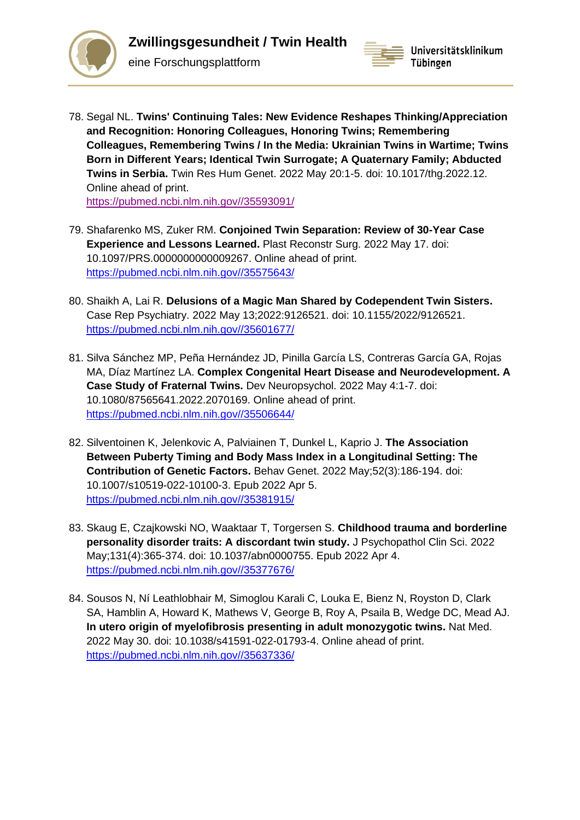



78. Segal NL. **Twins' Continuing Tales: New Evidence Reshapes Thinking/Appreciation and Recognition: Honoring Colleagues, Honoring Twins; Remembering Colleagues, Remembering Twins / In the Media: Ukrainian Twins in Wartime; Twins Born in Different Years; Identical Twin Surrogate; A Quaternary Family; Abducted Twins in Serbia.** Twin Res Hum Genet. 2022 May 20:1-5. doi: 10.1017/thg.2022.12. Online ahead of print.

[https://pubmed.ncbi.nlm.nih.gov//35593091/](https://pubmed.ncbi.nlm.nih.gov/35593091/)

eine Forschungsplattform

- 79. Shafarenko MS, Zuker RM. **Conjoined Twin Separation: Review of 30-Year Case Experience and Lessons Learned.** Plast Reconstr Surg. 2022 May 17. doi: 10.1097/PRS.0000000000009267. Online ahead of print. [https://pubmed.ncbi.nlm.nih.gov//35575643/](https://pubmed.ncbi.nlm.nih.gov/35575643/)
- 80. Shaikh A, Lai R. **Delusions of a Magic Man Shared by Codependent Twin Sisters.**  Case Rep Psychiatry. 2022 May 13;2022:9126521. doi: 10.1155/2022/9126521. [https://pubmed.ncbi.nlm.nih.gov//35601677/](https://pubmed.ncbi.nlm.nih.gov/35601677/)
- 81. Silva Sánchez MP, Peña Hernández JD, Pinilla García LS, Contreras García GA, Rojas MA, Díaz Martínez LA. **Complex Congenital Heart Disease and Neurodevelopment. A Case Study of Fraternal Twins.** Dev Neuropsychol. 2022 May 4:1-7. doi: 10.1080/87565641.2022.2070169. Online ahead of print. [https://pubmed.ncbi.nlm.nih.gov//35506644/](https://pubmed.ncbi.nlm.nih.gov/35506644/)
- 82. Silventoinen K, Jelenkovic A, Palviainen T, Dunkel L, Kaprio J. **The Association Between Puberty Timing and Body Mass Index in a Longitudinal Setting: The Contribution of Genetic Factors.** Behav Genet. 2022 May;52(3):186-194. doi: 10.1007/s10519-022-10100-3. Epub 2022 Apr 5. [https://pubmed.ncbi.nlm.nih.gov//35381915/](https://pubmed.ncbi.nlm.nih.gov/35381915/)
- 83. Skaug E, Czajkowski NO, Waaktaar T, Torgersen S. **Childhood trauma and borderline personality disorder traits: A discordant twin study.** J Psychopathol Clin Sci. 2022 May;131(4):365-374. doi: 10.1037/abn0000755. Epub 2022 Apr 4. [https://pubmed.ncbi.nlm.nih.gov//35377676/](https://pubmed.ncbi.nlm.nih.gov/35377676/)
- 84. Sousos N, Ní Leathlobhair M, Simoglou Karali C, Louka E, Bienz N, Royston D, Clark SA, Hamblin A, Howard K, Mathews V, George B, Roy A, Psaila B, Wedge DC, Mead AJ. **In utero origin of myelofibrosis presenting in adult monozygotic twins.** Nat Med. 2022 May 30. doi: 10.1038/s41591-022-01793-4. Online ahead of print. [https://pubmed.ncbi.nlm.nih.gov//35637336/](https://pubmed.ncbi.nlm.nih.gov/35637336/)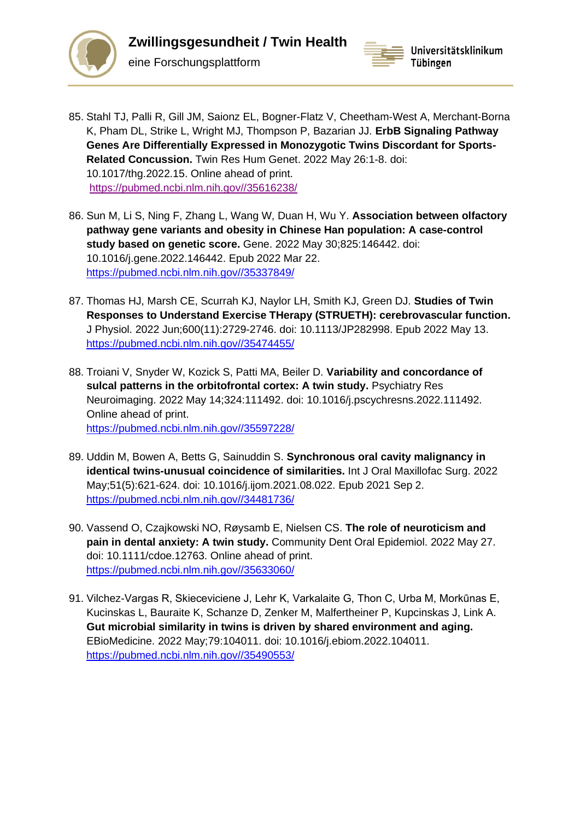



- 85. Stahl TJ, Palli R, Gill JM, Saionz EL, Bogner-Flatz V, Cheetham-West A, Merchant-Borna K, Pham DL, Strike L, Wright MJ, Thompson P, Bazarian JJ. **ErbB Signaling Pathway Genes Are Differentially Expressed in Monozygotic Twins Discordant for Sports-Related Concussion.** Twin Res Hum Genet. 2022 May 26:1-8. doi: 10.1017/thg.2022.15. Online ahead of print. [https://pubmed.ncbi.nlm.nih.gov//35616238/](https://pubmed.ncbi.nlm.nih.gov/35616238/)
- 86. Sun M, Li S, Ning F, Zhang L, Wang W, Duan H, Wu Y. **Association between olfactory pathway gene variants and obesity in Chinese Han population: A case-control study based on genetic score.** Gene. 2022 May 30;825:146442. doi: 10.1016/j.gene.2022.146442. Epub 2022 Mar 22. [https://pubmed.ncbi.nlm.nih.gov//35337849/](https://pubmed.ncbi.nlm.nih.gov/35337849/)
- 87. Thomas HJ, Marsh CE, Scurrah KJ, Naylor LH, Smith KJ, Green DJ. **Studies of Twin Responses to Understand Exercise THerapy (STRUETH): cerebrovascular function.**  J Physiol. 2022 Jun;600(11):2729-2746. doi: 10.1113/JP282998. Epub 2022 May 13. [https://pubmed.ncbi.nlm.nih.gov//35474455/](https://pubmed.ncbi.nlm.nih.gov/35474455/)
- 88. Troiani V, Snyder W, Kozick S, Patti MA, Beiler D. **Variability and concordance of sulcal patterns in the orbitofrontal cortex: A twin study.** Psychiatry Res Neuroimaging. 2022 May 14;324:111492. doi: 10.1016/j.pscychresns.2022.111492. Online ahead of print. [https://pubmed.ncbi.nlm.nih.gov//35597228/](https://pubmed.ncbi.nlm.nih.gov/35597228/)
- 89. Uddin M, Bowen A, Betts G, Sainuddin S. **Synchronous oral cavity malignancy in identical twins-unusual coincidence of similarities.** Int J Oral Maxillofac Surg. 2022 May;51(5):621-624. doi: 10.1016/j.ijom.2021.08.022. Epub 2021 Sep 2. [https://pubmed.ncbi.nlm.nih.gov//34481736/](https://pubmed.ncbi.nlm.nih.gov/34481736/)
- 90. Vassend O, Czajkowski NO, Røysamb E, Nielsen CS. **The role of neuroticism and pain in dental anxiety: A twin study.** Community Dent Oral Epidemiol. 2022 May 27. doi: 10.1111/cdoe.12763. Online ahead of print. [https://pubmed.ncbi.nlm.nih.gov//35633060/](https://pubmed.ncbi.nlm.nih.gov/35633060/)
- 91. Vilchez-Vargas R, Skieceviciene J, Lehr K, Varkalaite G, Thon C, Urba M, Morkūnas E, Kucinskas L, Bauraite K, Schanze D, Zenker M, Malfertheiner P, Kupcinskas J, Link A. **Gut microbial similarity in twins is driven by shared environment and aging.**  EBioMedicine. 2022 May;79:104011. doi: 10.1016/j.ebiom.2022.104011. [https://pubmed.ncbi.nlm.nih.gov//35490553/](https://pubmed.ncbi.nlm.nih.gov/35490553/)